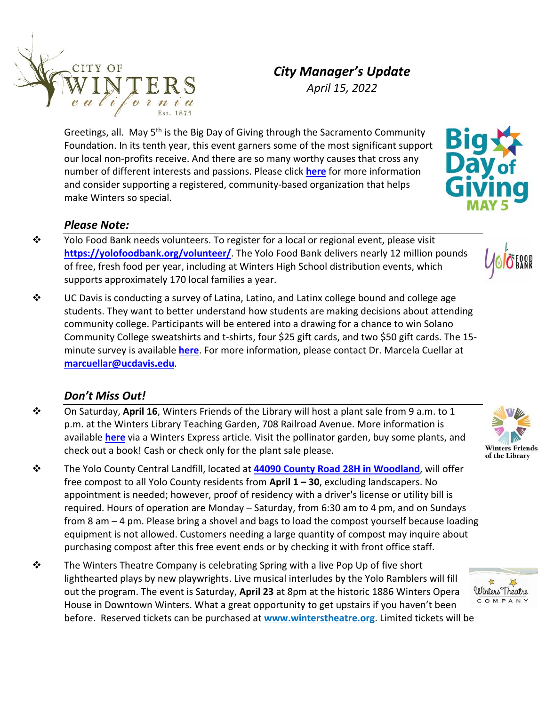

*April 15, 2022* 

Greetings, all. May 5<sup>th</sup> is the Big Day of Giving through the Sacramento Community Foundation. In its tenth year, this event garners some of the most significant support our local non‐profits receive. And there are so many worthy causes that cross any number of different interests and passions. Please click **[here](https://www.bigdayofgiving.org/giving-events/bdog22)** for more information and consider supporting a registered, community‐based organization that helps make Winters so special.

## *Please Note:*

- \* Yolo Food Bank needs volunteers. To register for a local or regional event, please visit **<https://yolofoodbank.org/volunteer/>**. The Yolo Food Bank delivers nearly 12 million pounds of free, fresh food per year, including at Winters High School distribution events, which supports approximately 170 local families a year.
- $\div$  UC Davis is conducting a survey of Latina, Latino, and Latinx college bound and college age students. They want to better understand how students are making decisions about attending community college. Participants will be entered into a drawing for a chance to win Solano Community College sweatshirts and t‐shirts, four \$25 gift cards, and two \$50 gift cards. The 15‐ minute survey is available **[here](https://ucdavis.co1.qualtrics.com/jfe/form/SV_5vWJfdwprGvBWXI)**. For more information, please contact Dr. Marcela Cuellar at **[marcuellar@ucdavis.edu](mailto:marcuellar@ucdavis.edu)**.

## *Don't Miss Out!*

- On Saturday, **April 16**, Winters Friends of the Library will host a plant sale from 9 a.m. to 1 p.m. at the Winters Library Teaching Garden, 708 Railroad Avenue. More information is available **[here](https://www.wintersexpress.com/local-news/spring-plant-sale-at-winters-library)** via a Winters Express article. Visit the pollinator garden, buy some plants, and check out a book! Cash or check only for the plant sale please.
- The Yolo County Central Landfill, located at **[44090 County Road 28H in Woodland](https://www.google.com/maps/@38.5913675,-121.6941804,17z)**, will offer free compost to all Yolo County residents from **April 1 – 30**, excluding landscapers. No appointment is needed; however, proof of residency with a driver's license or utility bill is required. Hours of operation are Monday – Saturday, from 6:30 am to 4 pm, and on Sundays from 8 am – 4 pm. Please bring a shovel and bags to load the compost yourself because loading equipment is not allowed. Customers needing a large quantity of compost may inquire about purchasing compost after this free event ends or by checking it with front office staff.
- $\mathbf{\hat{P}}$  The Winters Theatre Company is celebrating Spring with a live Pop Up of five short lighthearted plays by new playwrights. Live musical interludes by the Yolo Ramblers will fill out the program. The event is Saturday, **April 23** at 8pm at the historic 1886 Winters Opera House in Downtown Winters. What a great opportunity to get upstairs if you haven't been before. Reserved tickets can be purchased at **[www.winterstheatre.org](http://www.winterstheatre.org/)**. Limited tickets will be